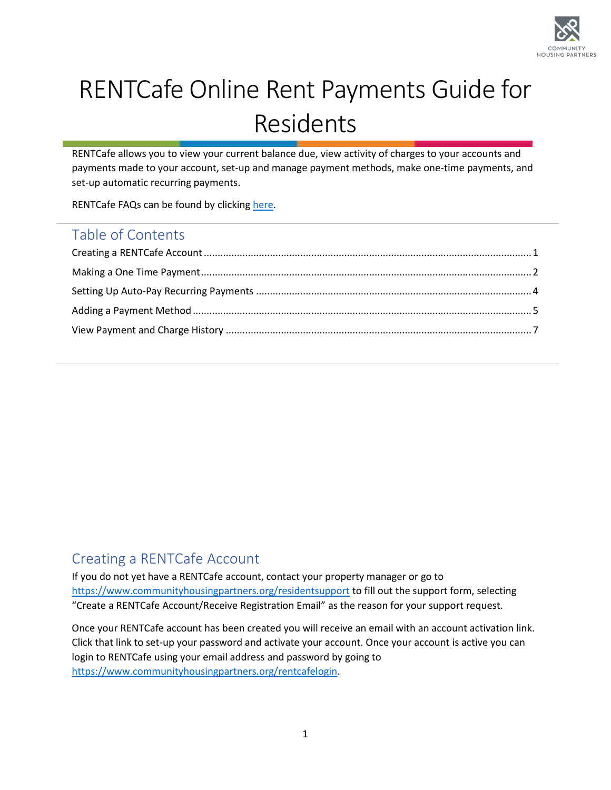

# RENTCafe Online Rent Payments Guide for Residents

RENTCafe allows you to view your current balance due, view activity of charges to your accounts and payments made to your account, set-up and manage payment methods, make one-time payments, and set-up automatic recurring payments.

RENTCafe FAQs can be found by clickin[g here.](https://www.communityhousingpartners.org/wp-content/uploads/2021/07/Resident-RENTCafe-FAQs.pdf)

#### Table of Contents

### <span id="page-0-0"></span>Creating a RENTCafe Account

If you do not yet have a RENTCafe account, contact your property manager or go to <https://www.communityhousingpartners.org/residentsupport> to fill out the support form, selecting "Create a RENTCafe Account/Receive Registration Email" as the reason for your support request.

Once your RENTCafe account has been created you will receive an email with an account activation link. Click that link to set-up your password and activate your account. Once your account is active you can login to RENTCafe using your email address and password by going to [https://www.communityhousingpartners.org/rentcafelogin.](https://www.communityhousingpartners.org/rentcafelogin)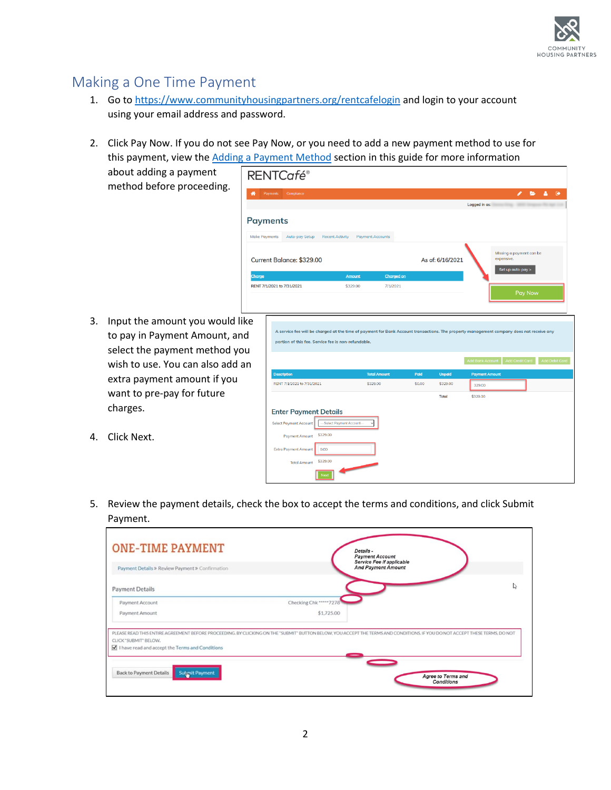

### <span id="page-1-0"></span>Making a One Time Payment

4. Click Next.

- 1. Go to<https://www.communityhousingpartners.org/rentcafelogin> and login to your account using your email address and password.
- 2. Click Pay Now. If you do not see Pay Now, or you need to add a new payment method to use for this payment, view th[e Adding a Payment Method](#page-4-0) section in this guide for more information

|    | about adding a payment                                                                             |                 | RENTCafé®                                           |                                                   |                     |        |               |                                                                                                                                                                                               |                |
|----|----------------------------------------------------------------------------------------------------|-----------------|-----------------------------------------------------|---------------------------------------------------|---------------------|--------|---------------|-----------------------------------------------------------------------------------------------------------------------------------------------------------------------------------------------|----------------|
|    | method before proceeding.                                                                          | ₩               | Payments Compliance                                 |                                                   |                     |        |               | ►<br>v                                                                                                                                                                                        | Δ.<br>- 6      |
|    |                                                                                                    |                 |                                                     |                                                   |                     |        |               | Logged in as:                                                                                                                                                                                 |                |
|    |                                                                                                    | <b>Payments</b> |                                                     |                                                   |                     |        |               |                                                                                                                                                                                               |                |
|    |                                                                                                    |                 | <b>Make Payments</b><br>Auto-pay Setup              | <b>Payment Accounts</b><br><b>Recent Activity</b> |                     |        |               |                                                                                                                                                                                               |                |
|    |                                                                                                    |                 | Current Balance: \$329.00<br>As of: 6/16/2021       |                                                   |                     |        |               | Missing a payment can be<br>expensive.                                                                                                                                                        |                |
|    |                                                                                                    | <b>Charge</b>   |                                                     | <b>Amount</b>                                     | <b>Charged on</b>   |        |               | Set up auto-pay >                                                                                                                                                                             |                |
|    |                                                                                                    |                 | RENT 7/1/2021 to 7/31/2021                          | \$329.00                                          | 7/1/2021            |        |               | Pay Now                                                                                                                                                                                       |                |
|    |                                                                                                    |                 |                                                     |                                                   |                     |        |               |                                                                                                                                                                                               |                |
|    | to pay in Payment Amount, and<br>select the payment method you<br>wish to use. You can also add an |                 | portion of this fee. Service fee is non-refundable. |                                                   |                     |        |               | A service fee will be charged at the time of payment for Bank Account transactions. The property management company does not receive any<br><b>Add Credit Card</b><br><b>Add Bank Account</b> | Add Debit Card |
|    | extra payment amount if you                                                                        |                 | <b>Description</b>                                  |                                                   | <b>Total Amount</b> | Paid   | <b>Unpaid</b> | <b>Payment Amount</b>                                                                                                                                                                         |                |
|    | want to pre-pay for future                                                                         |                 | RENT 7/1/2021 to 7/31/2021                          | \$329.00                                          |                     | \$0.00 | \$329.00      | 329.00                                                                                                                                                                                        |                |
|    |                                                                                                    |                 |                                                     |                                                   |                     |        | Total         | \$329,00                                                                                                                                                                                      |                |
|    | charges.                                                                                           |                 | <b>Enter Payment Details</b>                        |                                                   |                     |        |               |                                                                                                                                                                                               |                |
|    |                                                                                                    |                 |                                                     |                                                   |                     |        |               |                                                                                                                                                                                               |                |
|    |                                                                                                    |                 | Select Payment Account                              | -Select Payment Account-                          |                     |        |               |                                                                                                                                                                                               |                |
|    | Click Next.                                                                                        |                 | \$329.00<br><b>Poyment Amount</b>                   |                                                   |                     |        |               |                                                                                                                                                                                               |                |
|    |                                                                                                    |                 | 0.00<br><b>Extra Payment Amount</b>                 |                                                   |                     |        |               |                                                                                                                                                                                               |                |
| 4. |                                                                                                    |                 | \$329.00<br><b>Total Amount</b>                     |                                                   |                     |        |               |                                                                                                                                                                                               |                |

5. Review the payment details, check the box to accept the terms and conditions, and click Submit Payment.

| <b>ONE-TIME PAYMENT</b><br>Payment Details > Review Payment > Confirmation                                                   |                                    | Details -<br><b>Payment Account</b><br><b>Service Fee if applicable</b><br><b>And Payment Amount</b>                                                                                                                    |
|------------------------------------------------------------------------------------------------------------------------------|------------------------------------|-------------------------------------------------------------------------------------------------------------------------------------------------------------------------------------------------------------------------|
| <b>Payment Details</b>                                                                                                       |                                    | い                                                                                                                                                                                                                       |
| Payment Account                                                                                                              | Checking Chk <sup>*****</sup> 7278 |                                                                                                                                                                                                                         |
| Payment Amount                                                                                                               | \$1,725.00                         |                                                                                                                                                                                                                         |
| CLICK "SUBMIT" BELOW.<br>I have read and accept the Terms and Conditions<br><b>Back to Payment Details</b><br>Submit Payment |                                    | PLEASE READ THIS ENTIRE AGREEMENT BEFORE PROCEEDING, BY CLICKING ON THE "SUBMIT" BUTTON BELOW, YOU ACCEPT THE TERMS AND CONDITIONS. IF YOU DO NOT ACCEPT THESE TERMS, DO NOT<br><b>Agree to Terms and</b><br>Conditions |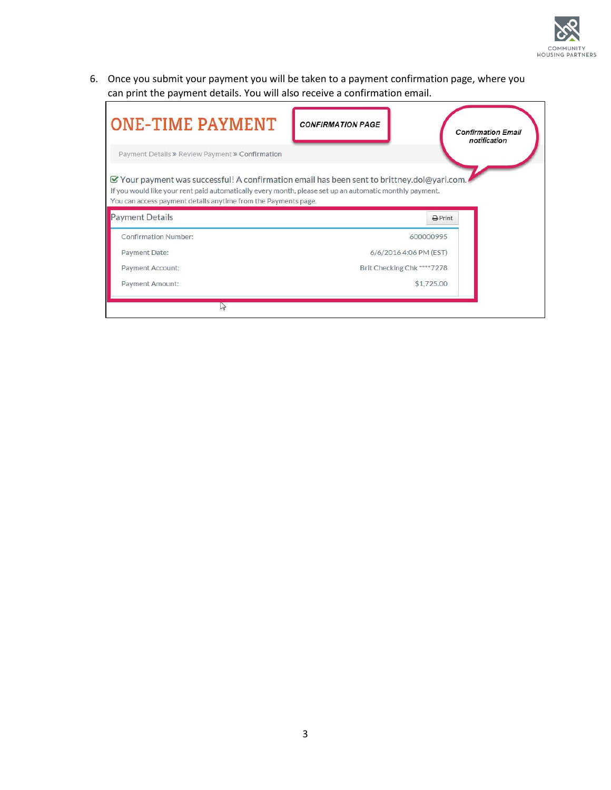

6. Once you submit your payment you will be taken to a payment confirmation page, where you can print the payment details. You will also receive a confirmation email.

| <b>ONE-TIME PAYMENT</b>                                                                                                                                                   | <b>CONFIRMATION PAGE</b><br><b>Confirmation Email</b><br>notification                                     |
|---------------------------------------------------------------------------------------------------------------------------------------------------------------------------|-----------------------------------------------------------------------------------------------------------|
| Payment Details » Review Payment » Confirmation                                                                                                                           |                                                                                                           |
| If you would like your rent paid automatically every month, please set up an automatic monthly payment.<br>You can access payment details anytime from the Payments page. | $\triangledown$ Your payment was successful! A confirmation email has been sent to brittney.dol@yari.com. |
| <b>Payment Details</b>                                                                                                                                                    | $\bigoplus$ Print                                                                                         |
| <b>Confirmation Number:</b>                                                                                                                                               | 600000995                                                                                                 |
| Payment Date:                                                                                                                                                             | 6/6/2016 4:06 PM (EST)                                                                                    |
| Payment Account:                                                                                                                                                          | Brit Checking Chk ****7278                                                                                |
| Payment Amount:                                                                                                                                                           | \$1,725.00                                                                                                |
| $\zeta_{\rm N}$                                                                                                                                                           |                                                                                                           |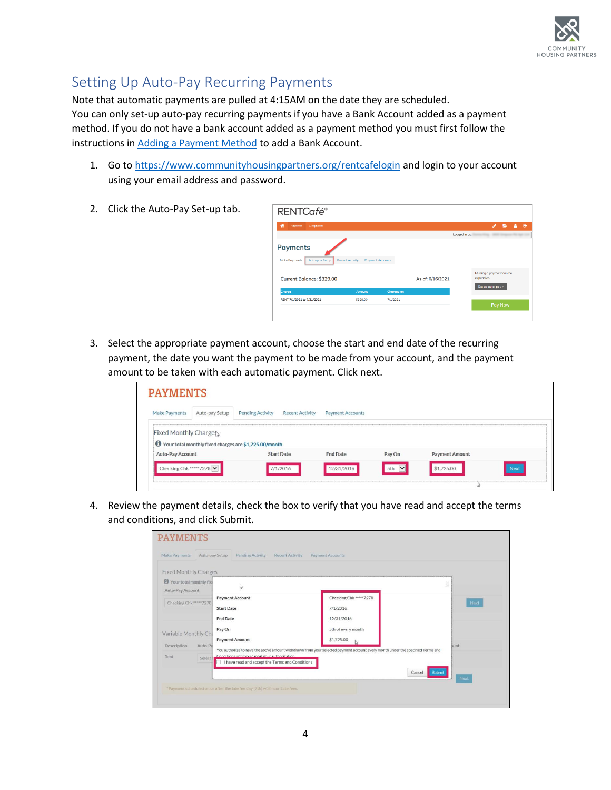

## <span id="page-3-0"></span>Setting Up Auto-Pay Recurring Payments

Note that automatic payments are pulled at 4:15AM on the date they are scheduled. You can only set-up auto-pay recurring payments if you have a Bank Account added as a payment method. If you do not have a bank account added as a payment method you must first follow the instructions in [Adding a Payment Method](#page-4-0) to add a Bank Account.

- 1. Go to<https://www.communityhousingpartners.org/rentcafelogin> and login to your account using your email address and password.
- 2. Click the Auto-Pay Set-up tab.

| RENTCafé®                                          |                                                   |                   |                  |               |                                                             |   |
|----------------------------------------------------|---------------------------------------------------|-------------------|------------------|---------------|-------------------------------------------------------------|---|
| 番<br>Payments<br>Compliance                        |                                                   |                   |                  |               | А<br>,<br>►                                                 | 藤 |
|                                                    |                                                   |                   |                  | Logged in as: |                                                             |   |
| <b>Payments</b><br>Auto-pay Setup<br>Make Payments | <b>Recent Activity</b><br><b>Payment Accounts</b> |                   |                  |               |                                                             |   |
| Current Balance: \$329.00                          |                                                   |                   | As of: 6/16/2021 |               | Missing a payment can be<br>expensive.<br>Set up auto-pay > |   |
| Charge                                             | Amount                                            | <b>Charged on</b> |                  |               |                                                             |   |
| RENT 7/1/2021 to 7/31/2021                         | \$329.00                                          | 7/1/2021          |                  |               | Pay Now                                                     |   |

3. Select the appropriate payment account, choose the start and end date of the recurring payment, the date you want the payment to be made from your account, and the payment amount to be taken with each automatic payment. Click next.

| <b>PAYMENTS</b>         |                |                                                       |                        |                         |        |                       |  |
|-------------------------|----------------|-------------------------------------------------------|------------------------|-------------------------|--------|-----------------------|--|
| <b>Make Payments</b>    | Auto-pay Setup | <b>Pending Activity</b>                               | <b>Recent Activity</b> | <b>Payment Accounts</b> |        |                       |  |
| Fixed Monthly Chargets  |                |                                                       |                        |                         |        |                       |  |
|                         |                | Your total monthly fixed charges are \$1,725.00/month |                        |                         |        |                       |  |
|                         |                |                                                       | <b>Start Date</b>      | <b>End Date</b>         | Pay On | <b>Payment Amount</b> |  |
| <b>Auto-Pay Account</b> |                |                                                       |                        |                         |        |                       |  |

4. Review the payment details, check the box to verify that you have read and accept the terms and conditions, and click Submit.

| Make Payments                                  | Auto-pay Setup<br>Pending Activity<br>Recent Activity                                                                                                            | Payment Accounts                                 |                          |
|------------------------------------------------|------------------------------------------------------------------------------------------------------------------------------------------------------------------|--------------------------------------------------|--------------------------|
| <b>Fixed Monthly Charges</b>                   |                                                                                                                                                                  |                                                  |                          |
| Your total monthly fixe<br>Auto-Pay Account    | Z,                                                                                                                                                               |                                                  | Ŋ                        |
| Checking Chk <sup>*****</sup> 7278             | <b>Payment Account</b><br><b>Start Date</b><br><b>End Date</b>                                                                                                   | Checking Chk *****7278<br>7/1/2016<br>12/31/2016 | Next                     |
| Variable Monthly Chi<br>Description<br>Auto-Pa | Pay On<br><b>Payment Amount</b><br>You authorize to have the above amount withdrawn from your selected payment account every month under the specified Terms and | 5th of every month<br>\$1,725.00                 | bunt                     |
| Rent<br>Select                                 | Conditions until you cancel your authorization.<br>I have read and accept the Terms and Conditions                                                               |                                                  | Submit<br>Cancel<br>Next |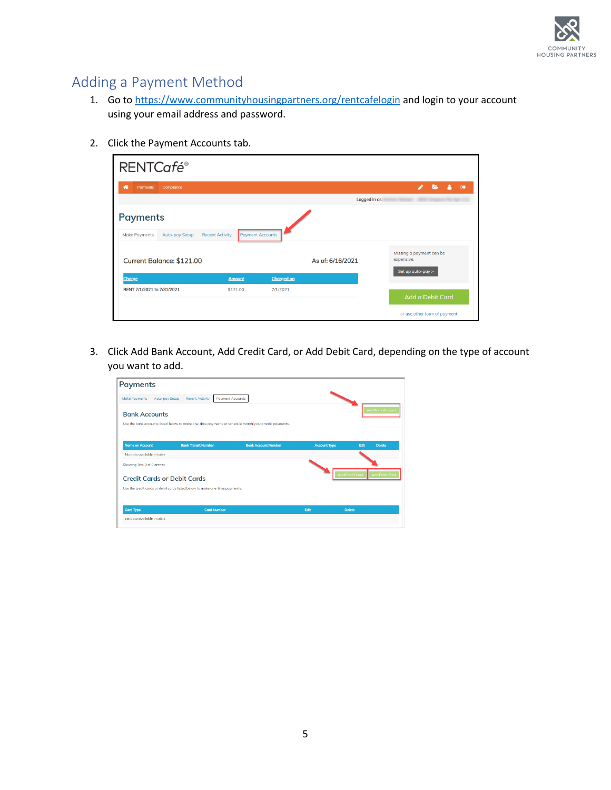

## <span id="page-4-0"></span>Adding a Payment Method

- 1. Go to<https://www.communityhousingpartners.org/rentcafelogin> and login to your account using your email address and password.
- 2. Click the Payment Accounts tab.

| RENTCafé®                                                                           |                         |                   |                  |                                                             |
|-------------------------------------------------------------------------------------|-------------------------|-------------------|------------------|-------------------------------------------------------------|
| 俗<br>Payments<br>Compliance                                                         |                         |                   |                  | А<br>v<br>ь<br>$\bullet$                                    |
|                                                                                     |                         |                   | Logged in as:    |                                                             |
| <b>Payments</b><br>Auto-pay Setup<br><b>Recent Activity</b><br><b>Make Payments</b> | <b>Payment Accounts</b> |                   |                  |                                                             |
| Current Balance: \$121.00                                                           |                         |                   | As of: 6/16/2021 | Missing a payment can be<br>expensive.<br>Set up auto-pay > |
| Charge                                                                              | <b>Amount</b>           | <b>Charged on</b> |                  |                                                             |
| RENT 7/1/2021 to 7/31/2021                                                          | \$121.00                | 7/1/2021          |                  | Add a Debit Card                                            |
|                                                                                     |                         |                   |                  | or use other form of payment                                |

3. Click Add Bank Account, Add Credit Card, or Add Debit Card, depending on the type of account you want to add.

| <b>Payments</b>                    |                                                                                                      |                            |                     |                                                 |  |
|------------------------------------|------------------------------------------------------------------------------------------------------|----------------------------|---------------------|-------------------------------------------------|--|
| Make Payments<br>Auto-pay Setup    | <b>Payment Accounts</b><br><b>Recent Activity</b>                                                    |                            |                     | <b>Add Bank Account</b>                         |  |
| <b>Bank Accounts</b>               |                                                                                                      |                            |                     |                                                 |  |
|                                    | Use the bank accounts listed below to make one-time payments or schedule monthly automatic payments. |                            |                     |                                                 |  |
| <b>Name on Account</b>             | <b>Bank Transit Number</b>                                                                           | <b>Bank Account Number</b> | <b>Account Type</b> | Edit<br><b>Delete</b>                           |  |
| No data available in table         |                                                                                                      |                            |                     |                                                 |  |
| Showing 0 to 0 of 0 entries        |                                                                                                      |                            |                     | <b>Add Credit Card</b><br><b>Add Debit Card</b> |  |
| <b>Credit Cards or Debit Cards</b> |                                                                                                      |                            |                     |                                                 |  |
|                                    | Use the credit cards or debit cards listed below to make one-time payments.                          |                            |                     |                                                 |  |
| <b>Card Type</b>                   | <b>Card Number</b>                                                                                   |                            | Edit                | <b>Delete</b>                                   |  |
| No data available in table         |                                                                                                      |                            |                     |                                                 |  |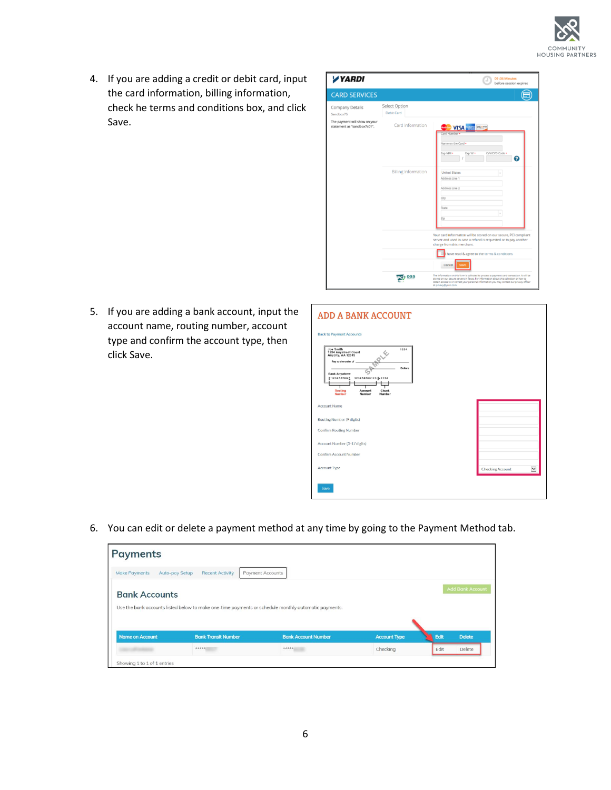

4. If you are adding a credit or debit card, input the card information, billing information, check he terms and conditions box, and click Save.



5. If you are adding a bank account, input the account name, routing number, account type and confirm the account type, then click Save.

| <b>ADD A BANK ACCOUNT</b>                                                                                                                                                                                                                                                                |                                         |
|------------------------------------------------------------------------------------------------------------------------------------------------------------------------------------------------------------------------------------------------------------------------------------------|-----------------------------------------|
| <b>Back to Payment Accounts</b><br>Joe Smith<br>1234 Anystreet Court<br>Anycity, AA 12345<br>1234<br>$8\vee 6$<br>Pay to the order of<br>Dollars<br><b>Bank Anywhere</b><br>123456789123   +1234<br>123456789<br>Routing<br><b>Account</b><br>Check<br><b>Number</b><br>Number<br>Number |                                         |
| Account Name<br>Routing Number (9 digits)<br><b>Confirm Routing Number</b>                                                                                                                                                                                                               |                                         |
| Account Number (3-17 digits)<br>Confirm Account Number                                                                                                                                                                                                                                   |                                         |
| Account Type                                                                                                                                                                                                                                                                             | <b>Checking Account</b><br>$\checkmark$ |
| Save                                                                                                                                                                                                                                                                                     |                                         |

6. You can edit or delete a payment method at any time by going to the Payment Method tab.

| <b>Payments</b>                        |                                                                                                      |                            |                     |      |                         |
|----------------------------------------|------------------------------------------------------------------------------------------------------|----------------------------|---------------------|------|-------------------------|
| <b>Make Payments</b><br>Auto-pay Setup | <b>Recent Activity</b>                                                                               | <b>Payment Accounts</b>    |                     |      |                         |
| <b>Bank Accounts</b>                   | Use the bank accounts listed below to make one-time payments or schedule monthly automatic payments. |                            |                     |      | <b>Add Bank Account</b> |
| <b>Name on Account</b>                 | <b>Bank Transit Number</b>                                                                           | <b>Bank Account Number</b> | <b>Account Type</b> | Edit | <b>Delete</b>           |
|                                        | *****                                                                                                | *****                      | Checking            | Edit | Delete                  |
| Showing 1 to 1 of 1 entries            |                                                                                                      |                            |                     |      |                         |